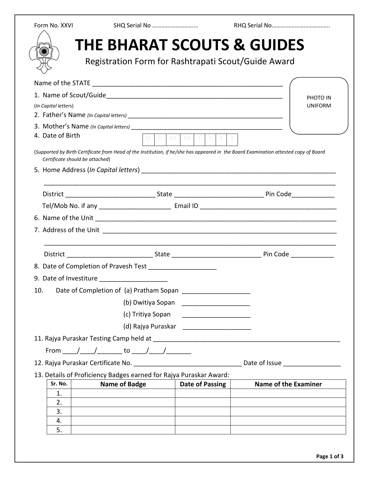| Form No. XXVI                   | SHQ Serial No                                                                                                                        |                                           |                                                                                                                                                                                                                                     |
|---------------------------------|--------------------------------------------------------------------------------------------------------------------------------------|-------------------------------------------|-------------------------------------------------------------------------------------------------------------------------------------------------------------------------------------------------------------------------------------|
|                                 | <b>THE BHARAT SCOUTS &amp; GUIDES</b><br>Registration Form for Rashtrapati Scout/Guide Award                                         |                                           |                                                                                                                                                                                                                                     |
|                                 |                                                                                                                                      |                                           |                                                                                                                                                                                                                                     |
|                                 |                                                                                                                                      |                                           | PHOTO IN                                                                                                                                                                                                                            |
| (In Capital letters)            |                                                                                                                                      |                                           | <b>UNIFORM</b>                                                                                                                                                                                                                      |
|                                 |                                                                                                                                      |                                           |                                                                                                                                                                                                                                     |
| 4. Date of Birth                |                                                                                                                                      | <b>DDMMYY</b>                             |                                                                                                                                                                                                                                     |
| Certificate should be attached) | (Supported by Birth Certificate from Head of the Institution, if he/she has appeared in the Board Examination attested copy of Board |                                           |                                                                                                                                                                                                                                     |
|                                 |                                                                                                                                      |                                           |                                                                                                                                                                                                                                     |
|                                 |                                                                                                                                      |                                           |                                                                                                                                                                                                                                     |
|                                 |                                                                                                                                      |                                           |                                                                                                                                                                                                                                     |
|                                 |                                                                                                                                      |                                           |                                                                                                                                                                                                                                     |
|                                 |                                                                                                                                      |                                           |                                                                                                                                                                                                                                     |
|                                 |                                                                                                                                      |                                           |                                                                                                                                                                                                                                     |
|                                 |                                                                                                                                      |                                           |                                                                                                                                                                                                                                     |
|                                 | 8. Date of Completion of Pravesh Test ______________________                                                                         |                                           |                                                                                                                                                                                                                                     |
|                                 | 9. Date of Investiture ______________________                                                                                        |                                           |                                                                                                                                                                                                                                     |
| 10.                             | Date of Completion of (a) Pratham Sopan _______________________                                                                      |                                           |                                                                                                                                                                                                                                     |
|                                 |                                                                                                                                      | (b) Dwitiya Sopan _______________________ |                                                                                                                                                                                                                                     |
|                                 | (c) Tritiya Sopan                                                                                                                    |                                           |                                                                                                                                                                                                                                     |
|                                 |                                                                                                                                      |                                           |                                                                                                                                                                                                                                     |
|                                 |                                                                                                                                      |                                           |                                                                                                                                                                                                                                     |
|                                 | From ____/ ____/ _______ to ____/ ____/ _______                                                                                      |                                           |                                                                                                                                                                                                                                     |
|                                 |                                                                                                                                      |                                           | Date of Issue <b>State</b> Service State of Service State State State State State State State State State State State State State State State State State State State State State State State State State State State State State S |
|                                 | 13. Details of Proficiency Badges earned for Rajya Puraskar Award:                                                                   |                                           |                                                                                                                                                                                                                                     |
| Sr. No.                         | <b>Name of Badge</b>                                                                                                                 | Date of Passing                           | <b>Name of the Examiner</b>                                                                                                                                                                                                         |
| 1.<br>2.                        |                                                                                                                                      |                                           |                                                                                                                                                                                                                                     |
| 3.                              |                                                                                                                                      |                                           |                                                                                                                                                                                                                                     |
| 4.                              |                                                                                                                                      |                                           |                                                                                                                                                                                                                                     |
| 5.                              |                                                                                                                                      |                                           |                                                                                                                                                                                                                                     |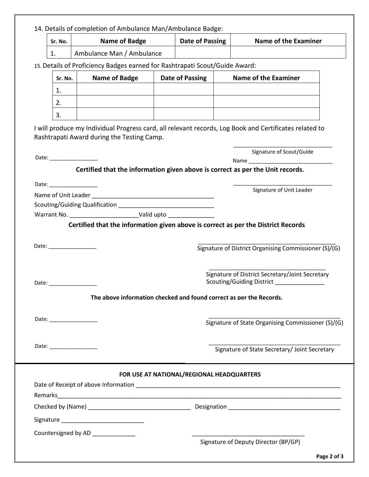14. Details of completion of Ambulance Man/Ambulance Badge:

| Sr. No. | Name of Badge             | Date of Passing | Name of the Examiner |
|---------|---------------------------|-----------------|----------------------|
| . .     | Ambulance Man / Ambulance |                 |                      |

15.Details of Proficiency Badges earned for Rashtrapati Scout/Guide Award:

| Sr. No.  | Name of Badge | Date of Passing | <b>Name of the Examiner</b> |
|----------|---------------|-----------------|-----------------------------|
| <b>.</b> |               |                 |                             |
| Ź.       |               |                 |                             |
|          |               |                 |                             |

I will produce my Individual Progress card, all relevant records, Log Book and Certificates related to Rashtrapati Award during the Testing Camp.

\_\_\_\_\_\_\_\_\_\_\_\_\_\_\_\_\_\_\_\_\_\_\_\_\_\_\_\_\_\_\_\_\_

|                                                                                                                                                                                                                                | Signature of Scout/Guide                                                                     |
|--------------------------------------------------------------------------------------------------------------------------------------------------------------------------------------------------------------------------------|----------------------------------------------------------------------------------------------|
|                                                                                                                                                                                                                                |                                                                                              |
|                                                                                                                                                                                                                                | Certified that the information given above is correct as per the Unit records.               |
| Date: the contract of the contract of the contract of the contract of the contract of the contract of the contract of the contract of the contract of the contract of the contract of the contract of the contract of the cont |                                                                                              |
|                                                                                                                                                                                                                                | Signature of Unit Leader                                                                     |
| Scouting/Guiding Qualification                                                                                                                                                                                                 |                                                                                              |
|                                                                                                                                                                                                                                |                                                                                              |
|                                                                                                                                                                                                                                | Certified that the information given above is correct as per the District Records            |
| Date: __________________                                                                                                                                                                                                       | Signature of District Organising Commissioner (S)/(G)                                        |
|                                                                                                                                                                                                                                | Signature of District Secretary/Joint Secretary<br>Scouting/Guiding District _______________ |
|                                                                                                                                                                                                                                | The above information checked and found correct as per the Records.                          |
|                                                                                                                                                                                                                                | Signature of State Organising Commissioner (S)/(G)                                           |
|                                                                                                                                                                                                                                | Signature of State Secretary/ Joint Secretary                                                |
|                                                                                                                                                                                                                                | FOR USE AT NATIONAL/REGIONAL HEADQUARTERS                                                    |
|                                                                                                                                                                                                                                |                                                                                              |
|                                                                                                                                                                                                                                |                                                                                              |
|                                                                                                                                                                                                                                |                                                                                              |
|                                                                                                                                                                                                                                |                                                                                              |
|                                                                                                                                                                                                                                |                                                                                              |
| Countersigned by AD ______________                                                                                                                                                                                             |                                                                                              |
|                                                                                                                                                                                                                                | Signature of Deputy Director (BP/GP)                                                         |
|                                                                                                                                                                                                                                | Page 2 of 3                                                                                  |